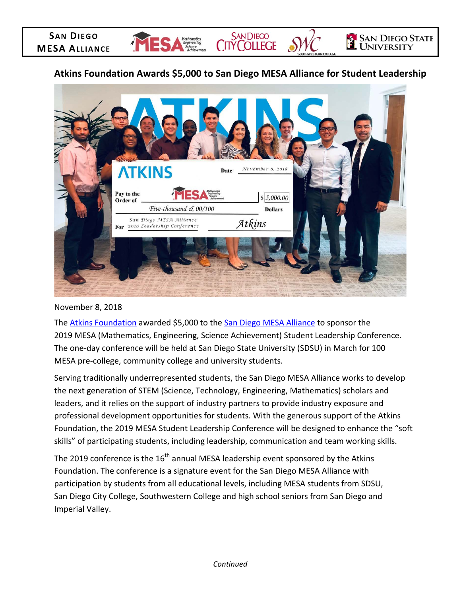# **Atkins Foundation Awards \$5,000 to San Diego MESA Alliance for Student Leadership**

Mathematics

SAN DIEGO<br>CITY COLLEGE

**SAN DIEGO STATE** 

**UNIVERSITY** 



November 8, 2018

**SAN DIEGO MESA ALLIANCE**

> The **Atkins Foundation** awarded \$5,000 to the **San Diego MESA Alliance** to sponsor the 2019 MESA (Mathematics, Engineering, Science Achievement) Student Leadership Conference. The one-day conference will be held at San Diego State University (SDSU) in March for 100 MESA pre-college, community college and university students.

Serving traditionally underrepresented students, the San Diego MESA Alliance works to develop the next generation of STEM (Science, Technology, Engineering, Mathematics) scholars and leaders, and it relies on the support of industry partners to provide industry exposure and professional development opportunities for students. With the generous support of the Atkins Foundation, the 2019 MESA Student Leadership Conference will be designed to enhance the "soft skills" of participating students, including leadership, communication and team working skills.

The 2019 conference is the  $16<sup>th</sup>$  annual MESA leadership event sponsored by the Atkins Foundation. The conference is a signature event for the San Diego MESA Alliance with participation by students from all educational levels, including MESA students from SDSU, San Diego City College, Southwestern College and high school seniors from San Diego and Imperial Valley.